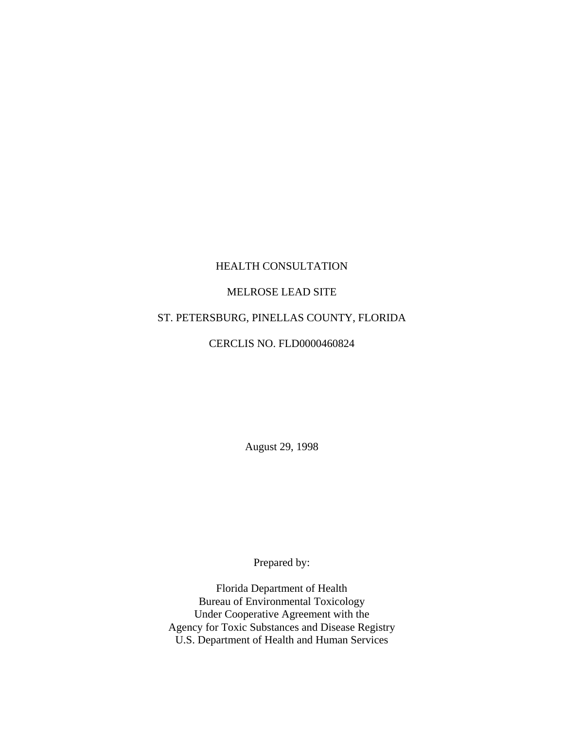## HEALTH CONSULTATION

## MELROSE LEAD SITE

# ST. PETERSBURG, PINELLAS COUNTY, FLORIDA

### CERCLIS NO. FLD0000460824

August 29, 1998

Prepared by:

Florida Department of Health Bureau of Environmental Toxicology Under Cooperative Agreement with the Agency for Toxic Substances and Disease Registry U.S. Department of Health and Human Services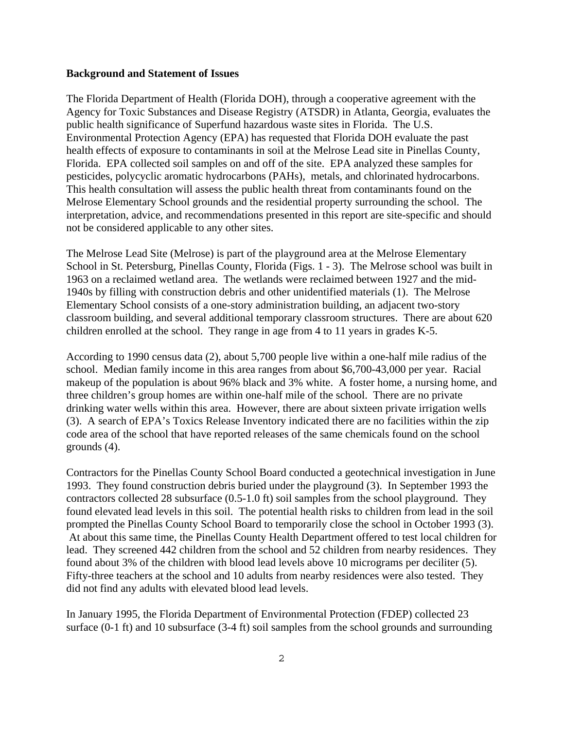#### **Background and Statement of Issues**

The Florida Department of Health (Florida DOH), through a cooperative agreement with the Agency for Toxic Substances and Disease Registry (ATSDR) in Atlanta, Georgia, evaluates the public health significance of Superfund hazardous waste sites in Florida. The U.S. Environmental Protection Agency (EPA) has requested that Florida DOH evaluate the past health effects of exposure to contaminants in soil at the Melrose Lead site in Pinellas County, Florida. EPA collected soil samples on and off of the site. EPA analyzed these samples for pesticides, polycyclic aromatic hydrocarbons (PAHs), metals, and chlorinated hydrocarbons. This health consultation will assess the public health threat from contaminants found on the Melrose Elementary School grounds and the residential property surrounding the school. The interpretation, advice, and recommendations presented in this report are site-specific and should not be considered applicable to any other sites.

The Melrose Lead Site (Melrose) is part of the playground area at the Melrose Elementary School in St. Petersburg, Pinellas County, Florida (Figs. 1 - 3). The Melrose school was built in 1963 on a reclaimed wetland area. The wetlands were reclaimed between 1927 and the mid-1940s by filling with construction debris and other unidentified materials (1). The Melrose Elementary School consists of a one-story administration building, an adjacent two-story classroom building, and several additional temporary classroom structures. There are about 620 children enrolled at the school. They range in age from 4 to 11 years in grades K-5.

According to 1990 census data (2), about 5,700 people live within a one-half mile radius of the school. Median family income in this area ranges from about \$6,700-43,000 per year. Racial makeup of the population is about 96% black and 3% white. A foster home, a nursing home, and three children's group homes are within one-half mile of the school. There are no private drinking water wells within this area. However, there are about sixteen private irrigation wells (3). A search of EPA's Toxics Release Inventory indicated there are no facilities within the zip code area of the school that have reported releases of the same chemicals found on the school grounds (4).

Contractors for the Pinellas County School Board conducted a geotechnical investigation in June 1993. They found construction debris buried under the playground (3). In September 1993 the contractors collected 28 subsurface (0.5-1.0 ft) soil samples from the school playground. They found elevated lead levels in this soil. The potential health risks to children from lead in the soil prompted the Pinellas County School Board to temporarily close the school in October 1993 (3). At about this same time, the Pinellas County Health Department offered to test local children for lead. They screened 442 children from the school and 52 children from nearby residences. They found about 3% of the children with blood lead levels above 10 micrograms per deciliter (5). Fifty-three teachers at the school and 10 adults from nearby residences were also tested. They did not find any adults with elevated blood lead levels.

In January 1995, the Florida Department of Environmental Protection (FDEP) collected 23 surface (0-1 ft) and 10 subsurface (3-4 ft) soil samples from the school grounds and surrounding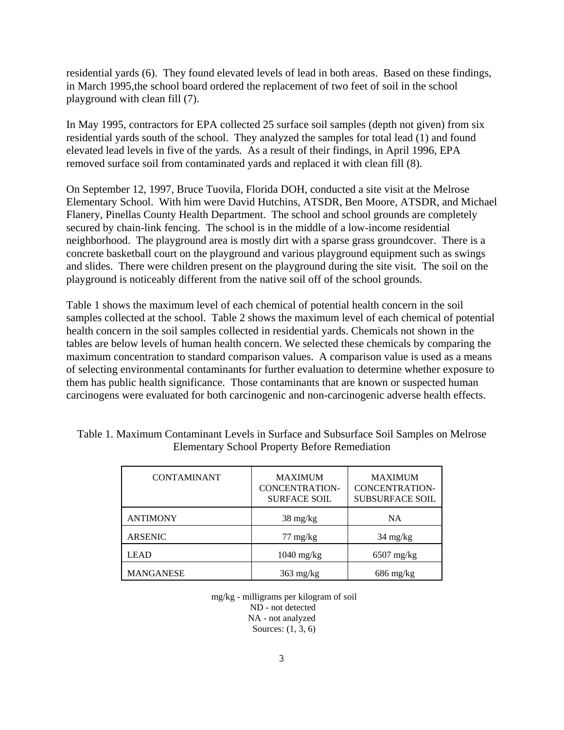residential yards (6). They found elevated levels of lead in both areas. Based on these findings, in March 1995,the school board ordered the replacement of two feet of soil in the school playground with clean fill (7).

In May 1995, contractors for EPA collected 25 surface soil samples (depth not given) from six residential yards south of the school. They analyzed the samples for total lead (1) and found elevated lead levels in five of the yards. As a result of their findings, in April 1996, EPA removed surface soil from contaminated yards and replaced it with clean fill (8).

On September 12, 1997, Bruce Tuovila, Florida DOH, conducted a site visit at the Melrose Elementary School. With him were David Hutchins, ATSDR, Ben Moore, ATSDR, and Michael Flanery, Pinellas County Health Department. The school and school grounds are completely secured by chain-link fencing. The school is in the middle of a low-income residential neighborhood. The playground area is mostly dirt with a sparse grass groundcover. There is a concrete basketball court on the playground and various playground equipment such as swings and slides. There were children present on the playground during the site visit. The soil on the playground is noticeably different from the native soil off of the school grounds.

Table 1 shows the maximum level of each chemical of potential health concern in the soil samples collected at the school. Table 2 shows the maximum level of each chemical of potential health concern in the soil samples collected in residential yards. Chemicals not shown in the tables are below levels of human health concern. We selected these chemicals by comparing the maximum concentration to standard comparison values. A comparison value is used as a means of selecting environmental contaminants for further evaluation to determine whether exposure to them has public health significance. Those contaminants that are known or suspected human carcinogens were evaluated for both carcinogenic and non-carcinogenic adverse health effects.

| <b>CONTAMINANT</b> | <b>MAXIMUM</b><br><b>CONCENTRATION-</b><br><b>SURFACE SOIL</b> | <b>MAXIMUM</b><br><b>CONCENTRATION-</b><br><b>SUBSURFACE SOIL</b> |
|--------------------|----------------------------------------------------------------|-------------------------------------------------------------------|
| <b>ANTIMONY</b>    | $38 \text{ mg/kg}$                                             | NA.                                                               |
| <b>ARSENIC</b>     | $77 \text{ mg/kg}$                                             | $34 \text{ mg/kg}$                                                |
| <b>LEAD</b>        | $1040 \text{ mg/kg}$                                           | $6507$ mg/kg                                                      |
| <b>MANGANESE</b>   | $363 \text{ mg/kg}$                                            | $686 \text{ mg/kg}$                                               |

Table 1. Maximum Contaminant Levels in Surface and Subsurface Soil Samples on Melrose Elementary School Property Before Remediation

 mg/kg - milligrams per kilogram of soil ND - not detected NA - not analyzed Sources: (1, 3, 6)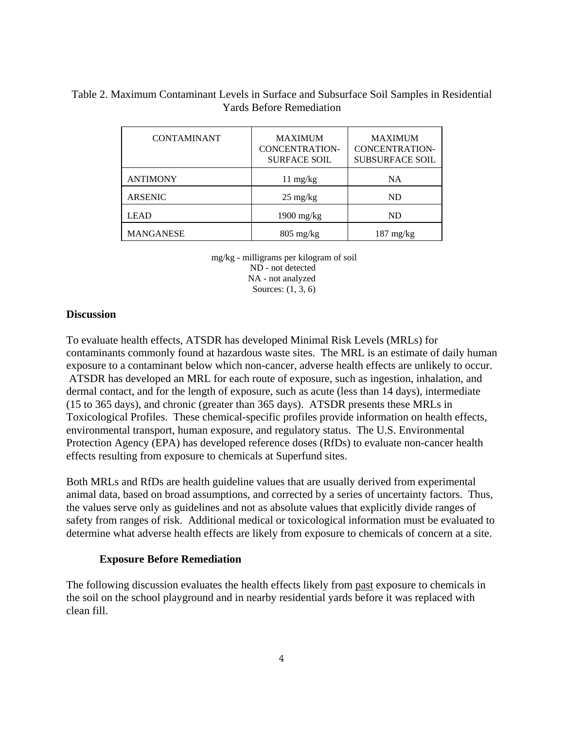## Table 2. Maximum Contaminant Levels in Surface and Subsurface Soil Samples in Residential Yards Before Remediation

| <b>CONTAMINANT</b> | <b>MAXIMUM</b><br><b>CONCENTRATION-</b><br><b>SURFACE SOIL</b> | <b>MAXIMUM</b><br><b>CONCENTRATION-</b><br><b>SUBSURFACE SOIL</b> |
|--------------------|----------------------------------------------------------------|-------------------------------------------------------------------|
| <b>ANTIMONY</b>    | $11 \text{ mg/kg}$                                             | NA                                                                |
| <b>ARSENIC</b>     | $25 \text{ mg/kg}$                                             | ND                                                                |
| <b>LEAD</b>        | $1900 \text{ mg/kg}$                                           | ND.                                                               |
| <b>MANGANESE</b>   | $805 \text{ mg/kg}$                                            | $187 \text{ mg/kg}$                                               |

 mg/kg - milligrams per kilogram of soil ND - not detected NA - not analyzed Sources: (1, 3, 6)

### **Discussion**

To evaluate health effects, ATSDR has developed Minimal Risk Levels (MRLs) for contaminants commonly found at hazardous waste sites. The MRL is an estimate of daily human exposure to a contaminant below which non-cancer, adverse health effects are unlikely to occur. ATSDR has developed an MRL for each route of exposure, such as ingestion, inhalation, and dermal contact, and for the length of exposure, such as acute (less than 14 days), intermediate (15 to 365 days), and chronic (greater than 365 days). ATSDR presents these MRLs in Toxicological Profiles. These chemical-specific profiles provide information on health effects, environmental transport, human exposure, and regulatory status. The U.S. Environmental Protection Agency (EPA) has developed reference doses (RfDs) to evaluate non-cancer health effects resulting from exposure to chemicals at Superfund sites.

Both MRLs and RfDs are health guideline values that are usually derived from experimental animal data, based on broad assumptions, and corrected by a series of uncertainty factors. Thus, the values serve only as guidelines and not as absolute values that explicitly divide ranges of safety from ranges of risk. Additional medical or toxicological information must be evaluated to determine what adverse health effects are likely from exposure to chemicals of concern at a site.

### **Exposure Before Remediation**

The following discussion evaluates the health effects likely from past exposure to chemicals in the soil on the school playground and in nearby residential yards before it was replaced with clean fill.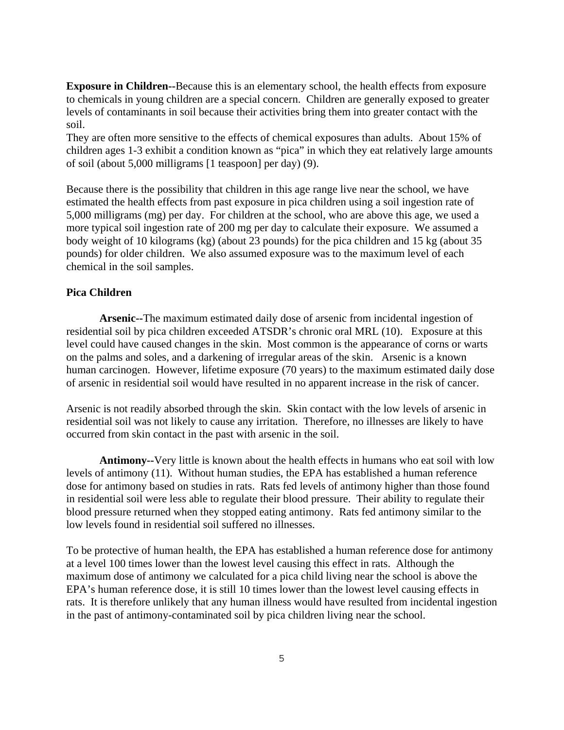**Exposure in Children--**Because this is an elementary school, the health effects from exposure to chemicals in young children are a special concern. Children are generally exposed to greater levels of contaminants in soil because their activities bring them into greater contact with the soil.

They are often more sensitive to the effects of chemical exposures than adults. About 15% of children ages 1-3 exhibit a condition known as "pica" in which they eat relatively large amounts of soil (about 5,000 milligrams [1 teaspoon] per day) (9).

Because there is the possibility that children in this age range live near the school, we have estimated the health effects from past exposure in pica children using a soil ingestion rate of 5,000 milligrams (mg) per day. For children at the school, who are above this age, we used a more typical soil ingestion rate of 200 mg per day to calculate their exposure. We assumed a body weight of 10 kilograms (kg) (about 23 pounds) for the pica children and 15 kg (about 35 pounds) for older children. We also assumed exposure was to the maximum level of each chemical in the soil samples.

### **Pica Children**

**Arsenic--**The maximum estimated daily dose of arsenic from incidental ingestion of residential soil by pica children exceeded ATSDR's chronic oral MRL (10). Exposure at this level could have caused changes in the skin. Most common is the appearance of corns or warts on the palms and soles, and a darkening of irregular areas of the skin. Arsenic is a known human carcinogen. However, lifetime exposure (70 years) to the maximum estimated daily dose of arsenic in residential soil would have resulted in no apparent increase in the risk of cancer.

Arsenic is not readily absorbed through the skin. Skin contact with the low levels of arsenic in residential soil was not likely to cause any irritation. Therefore, no illnesses are likely to have occurred from skin contact in the past with arsenic in the soil.

**Antimony--**Very little is known about the health effects in humans who eat soil with low levels of antimony (11). Without human studies, the EPA has established a human reference dose for antimony based on studies in rats. Rats fed levels of antimony higher than those found in residential soil were less able to regulate their blood pressure. Their ability to regulate their blood pressure returned when they stopped eating antimony. Rats fed antimony similar to the low levels found in residential soil suffered no illnesses.

To be protective of human health, the EPA has established a human reference dose for antimony at a level 100 times lower than the lowest level causing this effect in rats. Although the maximum dose of antimony we calculated for a pica child living near the school is above the EPA's human reference dose, it is still 10 times lower than the lowest level causing effects in rats. It is therefore unlikely that any human illness would have resulted from incidental ingestion in the past of antimony-contaminated soil by pica children living near the school.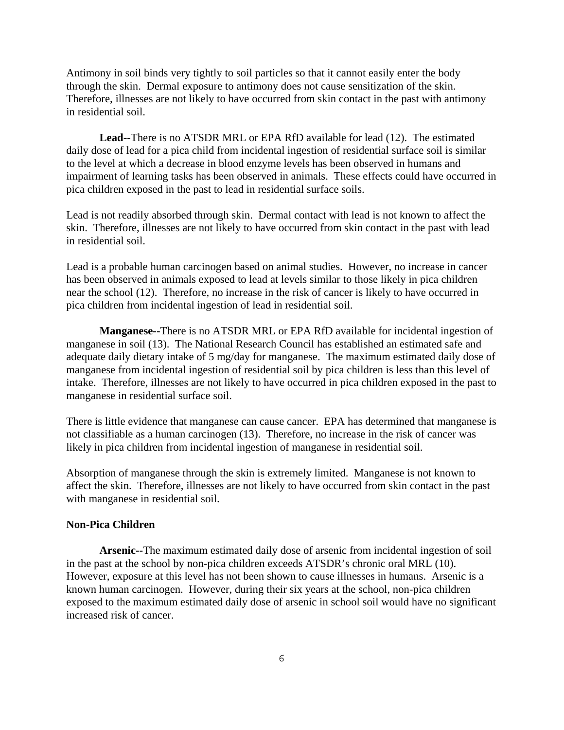Antimony in soil binds very tightly to soil particles so that it cannot easily enter the body through the skin. Dermal exposure to antimony does not cause sensitization of the skin. Therefore, illnesses are not likely to have occurred from skin contact in the past with antimony in residential soil.

**Lead--**There is no ATSDR MRL or EPA RfD available for lead (12). The estimated daily dose of lead for a pica child from incidental ingestion of residential surface soil is similar to the level at which a decrease in blood enzyme levels has been observed in humans and impairment of learning tasks has been observed in animals. These effects could have occurred in pica children exposed in the past to lead in residential surface soils.

Lead is not readily absorbed through skin. Dermal contact with lead is not known to affect the skin. Therefore, illnesses are not likely to have occurred from skin contact in the past with lead in residential soil.

Lead is a probable human carcinogen based on animal studies. However, no increase in cancer has been observed in animals exposed to lead at levels similar to those likely in pica children near the school (12). Therefore, no increase in the risk of cancer is likely to have occurred in pica children from incidental ingestion of lead in residential soil.

**Manganese--**There is no ATSDR MRL or EPA RfD available for incidental ingestion of manganese in soil (13). The National Research Council has established an estimated safe and adequate daily dietary intake of 5 mg/day for manganese. The maximum estimated daily dose of manganese from incidental ingestion of residential soil by pica children is less than this level of intake. Therefore, illnesses are not likely to have occurred in pica children exposed in the past to manganese in residential surface soil.

There is little evidence that manganese can cause cancer. EPA has determined that manganese is not classifiable as a human carcinogen (13). Therefore, no increase in the risk of cancer was likely in pica children from incidental ingestion of manganese in residential soil.

Absorption of manganese through the skin is extremely limited. Manganese is not known to affect the skin. Therefore, illnesses are not likely to have occurred from skin contact in the past with manganese in residential soil.

### **Non-Pica Children**

**Arsenic--**The maximum estimated daily dose of arsenic from incidental ingestion of soil in the past at the school by non-pica children exceeds ATSDR's chronic oral MRL (10). However, exposure at this level has not been shown to cause illnesses in humans. Arsenic is a known human carcinogen. However, during their six years at the school, non-pica children exposed to the maximum estimated daily dose of arsenic in school soil would have no significant increased risk of cancer.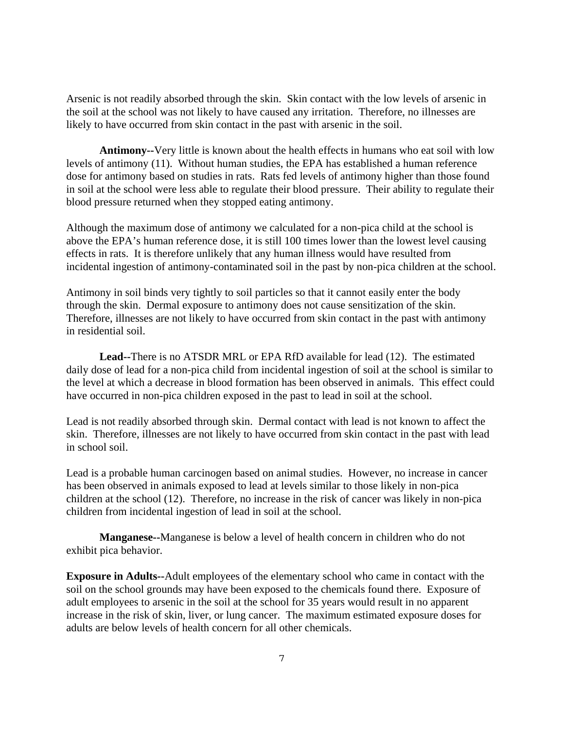Arsenic is not readily absorbed through the skin. Skin contact with the low levels of arsenic in the soil at the school was not likely to have caused any irritation. Therefore, no illnesses are likely to have occurred from skin contact in the past with arsenic in the soil.

**Antimony--**Very little is known about the health effects in humans who eat soil with low levels of antimony (11). Without human studies, the EPA has established a human reference dose for antimony based on studies in rats. Rats fed levels of antimony higher than those found in soil at the school were less able to regulate their blood pressure. Their ability to regulate their blood pressure returned when they stopped eating antimony.

Although the maximum dose of antimony we calculated for a non-pica child at the school is above the EPA's human reference dose, it is still 100 times lower than the lowest level causing effects in rats. It is therefore unlikely that any human illness would have resulted from incidental ingestion of antimony-contaminated soil in the past by non-pica children at the school.

Antimony in soil binds very tightly to soil particles so that it cannot easily enter the body through the skin. Dermal exposure to antimony does not cause sensitization of the skin. Therefore, illnesses are not likely to have occurred from skin contact in the past with antimony in residential soil.

**Lead--**There is no ATSDR MRL or EPA RfD available for lead (12). The estimated daily dose of lead for a non-pica child from incidental ingestion of soil at the school is similar to the level at which a decrease in blood formation has been observed in animals. This effect could have occurred in non-pica children exposed in the past to lead in soil at the school.

Lead is not readily absorbed through skin. Dermal contact with lead is not known to affect the skin. Therefore, illnesses are not likely to have occurred from skin contact in the past with lead in school soil.

Lead is a probable human carcinogen based on animal studies. However, no increase in cancer has been observed in animals exposed to lead at levels similar to those likely in non-pica children at the school (12). Therefore, no increase in the risk of cancer was likely in non-pica children from incidental ingestion of lead in soil at the school.

**Manganese--**Manganese is below a level of health concern in children who do not exhibit pica behavior.

**Exposure in Adults--**Adult employees of the elementary school who came in contact with the soil on the school grounds may have been exposed to the chemicals found there. Exposure of adult employees to arsenic in the soil at the school for 35 years would result in no apparent increase in the risk of skin, liver, or lung cancer. The maximum estimated exposure doses for adults are below levels of health concern for all other chemicals.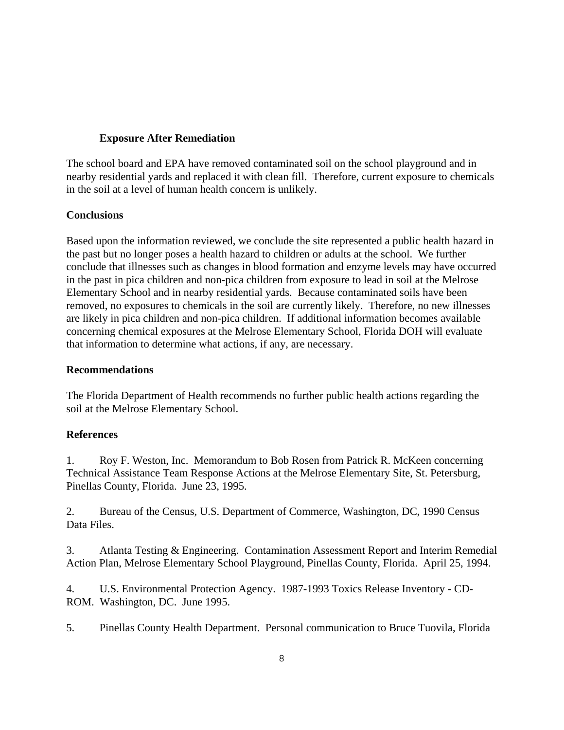### **Exposure After Remediation**

The school board and EPA have removed contaminated soil on the school playground and in nearby residential yards and replaced it with clean fill. Therefore, current exposure to chemicals in the soil at a level of human health concern is unlikely.

## **Conclusions**

Based upon the information reviewed, we conclude the site represented a public health hazard in the past but no longer poses a health hazard to children or adults at the school. We further conclude that illnesses such as changes in blood formation and enzyme levels may have occurred in the past in pica children and non-pica children from exposure to lead in soil at the Melrose Elementary School and in nearby residential yards. Because contaminated soils have been removed, no exposures to chemicals in the soil are currently likely. Therefore, no new illnesses are likely in pica children and non-pica children. If additional information becomes available concerning chemical exposures at the Melrose Elementary School, Florida DOH will evaluate that information to determine what actions, if any, are necessary.

## **Recommendations**

The Florida Department of Health recommends no further public health actions regarding the soil at the Melrose Elementary School.

## **References**

1. Roy F. Weston, Inc. Memorandum to Bob Rosen from Patrick R. McKeen concerning Technical Assistance Team Response Actions at the Melrose Elementary Site, St. Petersburg, Pinellas County, Florida. June 23, 1995.

2. Bureau of the Census, U.S. Department of Commerce, Washington, DC, 1990 Census Data Files.

3. Atlanta Testing & Engineering. Contamination Assessment Report and Interim Remedial Action Plan, Melrose Elementary School Playground, Pinellas County, Florida. April 25, 1994.

4. U.S. Environmental Protection Agency. 1987-1993 Toxics Release Inventory - CD-ROM. Washington, DC. June 1995.

5. Pinellas County Health Department. Personal communication to Bruce Tuovila, Florida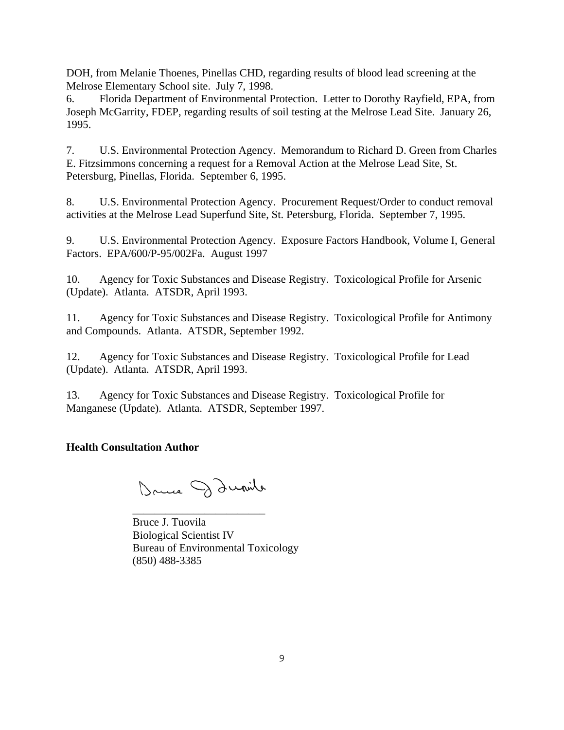DOH, from Melanie Thoenes, Pinellas CHD, regarding results of blood lead screening at the Melrose Elementary School site. July 7, 1998.

6. Florida Department of Environmental Protection. Letter to Dorothy Rayfield, EPA, from Joseph McGarrity, FDEP, regarding results of soil testing at the Melrose Lead Site. January 26, 1995.

7. U.S. Environmental Protection Agency. Memorandum to Richard D. Green from Charles E. Fitzsimmons concerning a request for a Removal Action at the Melrose Lead Site, St. Petersburg, Pinellas, Florida. September 6, 1995.

8. U.S. Environmental Protection Agency. Procurement Request/Order to conduct removal activities at the Melrose Lead Superfund Site, St. Petersburg, Florida. September 7, 1995.

9. U.S. Environmental Protection Agency. Exposure Factors Handbook, Volume I, General Factors. EPA/600/P-95/002Fa. August 1997

10. Agency for Toxic Substances and Disease Registry. Toxicological Profile for Arsenic (Update). Atlanta. ATSDR, April 1993.

11. Agency for Toxic Substances and Disease Registry. Toxicological Profile for Antimony and Compounds. Atlanta. ATSDR, September 1992.

12. Agency for Toxic Substances and Disease Registry. Toxicological Profile for Lead (Update). Atlanta. ATSDR, April 1993.

13. Agency for Toxic Substances and Disease Registry. Toxicological Profile for Manganese (Update). Atlanta. ATSDR, September 1997.

## **Health Consultation Author**

Druce Daunite

\_\_\_\_\_\_\_\_\_\_\_\_\_\_\_\_\_\_\_\_\_\_\_\_

Bruce J. Tuovila Biological Scientist IV Bureau of Environmental Toxicology (850) 488-3385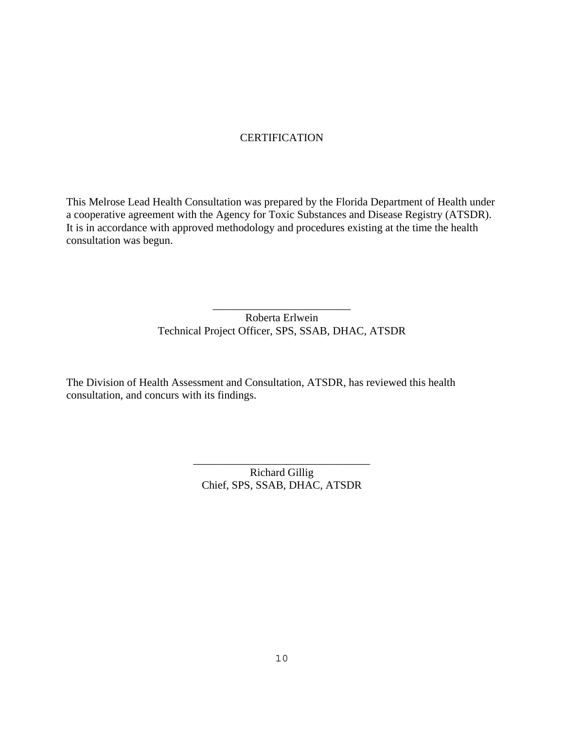## **CERTIFICATION**

This Melrose Lead Health Consultation was prepared by the Florida Department of Health under a cooperative agreement with the Agency for Toxic Substances and Disease Registry (ATSDR). It is in accordance with approved methodology and procedures existing at the time the health consultation was begun.

> Roberta Erlwein Technical Project Officer, SPS, SSAB, DHAC, ATSDR

\_\_\_\_\_\_\_\_\_\_\_\_\_\_\_\_\_\_\_\_\_\_\_\_\_

The Division of Health Assessment and Consultation, ATSDR, has reviewed this health consultation, and concurs with its findings.

> Richard Gillig Chief, SPS, SSAB, DHAC, ATSDR

\_\_\_\_\_\_\_\_\_\_\_\_\_\_\_\_\_\_\_\_\_\_\_\_\_\_\_\_\_\_\_\_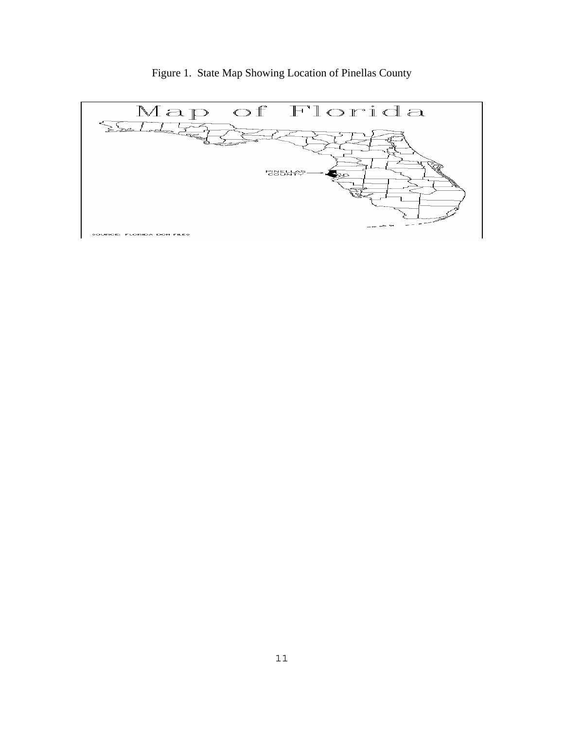

Figure 1. State Map Showing Location of Pinellas County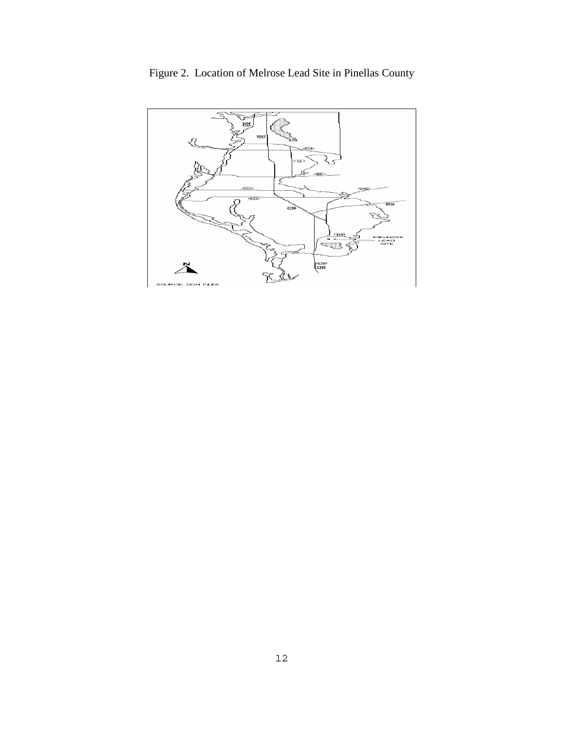

Figure 2. Location of Melrose Lead Site in Pinellas County